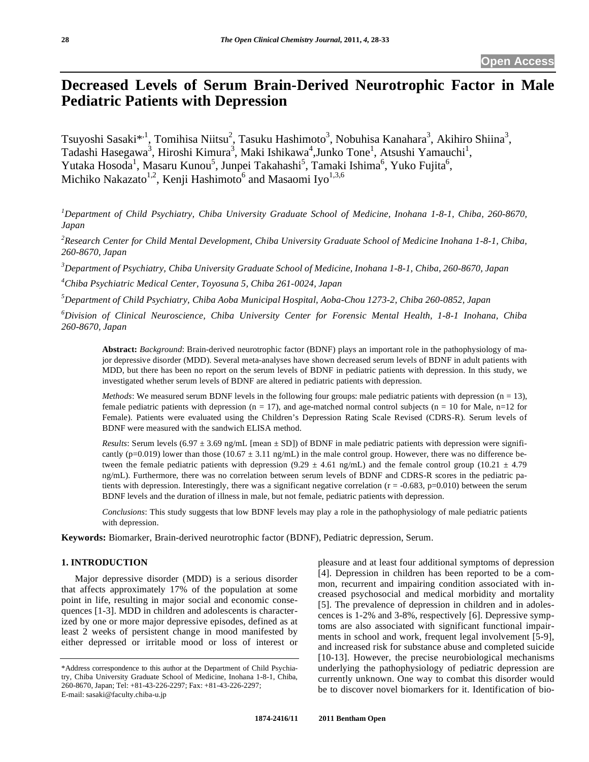# **Decreased Levels of Serum Brain-Derived Neurotrophic Factor in Male Pediatric Patients with Depression**

Tsuyoshi Sasaki $^{*,1}$ , Tomihisa Niitsu<sup>2</sup>, Tasuku Hashimoto<sup>3</sup>, Nobuhisa Kanahara<sup>3</sup>, Akihiro Shiina<sup>3</sup>, Tadashi Hasegawa<sup>3</sup>, Hiroshi Kimura<sup>3</sup>, Maki Ishikawa<sup>4</sup>, Junko Tone<sup>1</sup>, Atsushi Yamauchi<sup>1</sup>, Yutaka Hosoda<sup>1</sup>, Masaru Kunou<sup>5</sup>, Junpei Takahashi<sup>5</sup>, Tamaki Ishima<sup>6</sup>, Yuko Fujita<sup>6</sup>, Michiko Nakazato $^{1,2}$ , Kenji Hashimoto $^{6}$  and Masaomi Iyo $^{1,3,6}$ 

*1 Department of Child Psychiatry, Chiba University Graduate School of Medicine, Inohana 1-8-1, Chiba, 260-8670, Japan* 

<sup>2</sup> Research Center for Child Mental Development, Chiba University Graduate School of Medicine Inohana 1-8-1, Chiba, *260-8670, Japan* 

*3 Department of Psychiatry, Chiba University Graduate School of Medicine, Inohana 1-8-1, Chiba, 260-8670, Japan* 

*4 Chiba Psychiatric Medical Center, Toyosuna 5, Chiba 261-0024, Japan* 

*5 Department of Child Psychiatry, Chiba Aoba Municipal Hospital, Aoba-Chou 1273-2, Chiba 260-0852, Japan* 

*6 Division of Clinical Neuroscience, Chiba University Center for Forensic Mental Health, 1-8-1 Inohana, Chiba 260-8670, Japan* 

**Abstract:** *Background*: Brain-derived neurotrophic factor (BDNF) plays an important role in the pathophysiology of major depressive disorder (MDD). Several meta-analyses have shown decreased serum levels of BDNF in adult patients with MDD, but there has been no report on the serum levels of BDNF in pediatric patients with depression. In this study, we investigated whether serum levels of BDNF are altered in pediatric patients with depression.

*Methods*: We measured serum BDNF levels in the following four groups: male pediatric patients with depression (n = 13), female pediatric patients with depression ( $n = 17$ ), and age-matched normal control subjects ( $n = 10$  for Male,  $n=12$  for Female). Patients were evaluated using the Children's Depression Rating Scale Revised (CDRS-R). Serum levels of BDNF were measured with the sandwich ELISA method.

*Results*: Serum levels (6.97  $\pm$  3.69 ng/mL [mean  $\pm$  SD]) of BDNF in male pediatric patients with depression were significantly (p=0.019) lower than those (10.67  $\pm$  3.11 ng/mL) in the male control group. However, there was no difference between the female pediatric patients with depression (9.29  $\pm$  4.61 ng/mL) and the female control group (10.21  $\pm$  4.79 ng/mL). Furthermore, there was no correlation between serum levels of BDNF and CDRS-R scores in the pediatric patients with depression. Interestingly, there was a significant negative correlation  $(r = -0.683, p=0.010)$  between the serum BDNF levels and the duration of illness in male, but not female, pediatric patients with depression.

*Conclusions*: This study suggests that low BDNF levels may play a role in the pathophysiology of male pediatric patients with depression.

**Keywords:** Biomarker, Brain-derived neurotrophic factor (BDNF), Pediatric depression, Serum.

## **1. INTRODUCTION**

 Major depressive disorder (MDD) is a serious disorder that affects approximately 17% of the population at some point in life, resulting in major social and economic consequences [1-3]. MDD in children and adolescents is characterized by one or more major depressive episodes, defined as at least 2 weeks of persistent change in mood manifested by either depressed or irritable mood or loss of interest or pleasure and at least four additional symptoms of depression [4]. Depression in children has been reported to be a common, recurrent and impairing condition associated with increased psychosocial and medical morbidity and mortality [5]. The prevalence of depression in children and in adolescences is 1-2% and 3-8%, respectively [6]. Depressive symptoms are also associated with significant functional impairments in school and work, frequent legal involvement [5-9], and increased risk for substance abuse and completed suicide [10-13]. However, the precise neurobiological mechanisms underlying the pathophysiology of pediatric depression are currently unknown. One way to combat this disorder would be to discover novel biomarkers for it. Identification of bio-

<sup>\*</sup>Address correspondence to this author at the Department of Child Psychiatry, Chiba University Graduate School of Medicine, Inohana 1-8-1, Chiba, 260-8670, Japan; Tel: +81-43-226-2297; Fax: +81-43-226-2297; E-mail: sasaki@faculty.chiba-u.jp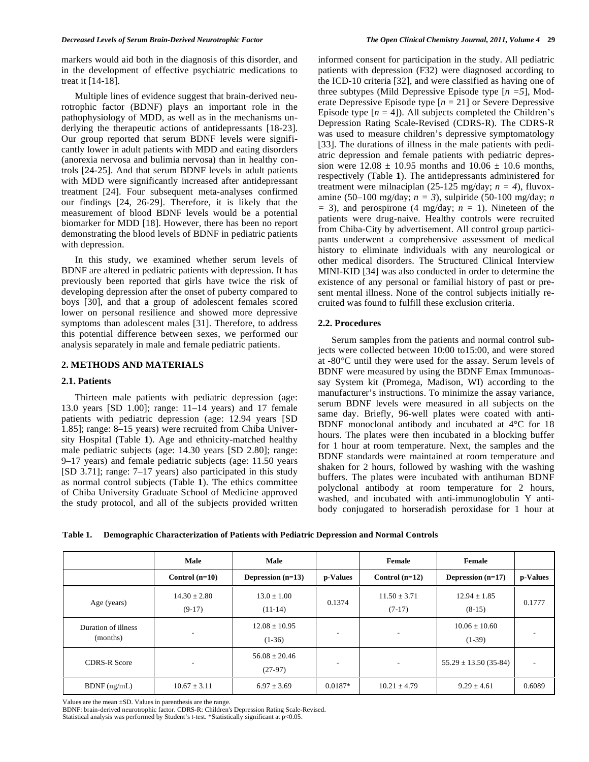markers would aid both in the diagnosis of this disorder, and in the development of effective psychiatric medications to treat it [14-18].

 Multiple lines of evidence suggest that brain-derived neurotrophic factor (BDNF) plays an important role in the pathophysiology of MDD, as well as in the mechanisms underlying the therapeutic actions of antidepressants [18-23]. Our group reported that serum BDNF levels were significantly lower in adult patients with MDD and eating disorders (anorexia nervosa and bulimia nervosa) than in healthy controls [24-25]. And that serum BDNF levels in adult patients with MDD were significantly increased after antidepressant treatment [24]. Four subsequent meta-analyses confirmed our findings [24, 26-29]. Therefore, it is likely that the measurement of blood BDNF levels would be a potential biomarker for MDD [18]. However, there has been no report demonstrating the blood levels of BDNF in pediatric patients with depression.

 In this study, we examined whether serum levels of BDNF are altered in pediatric patients with depression. It has previously been reported that girls have twice the risk of developing depression after the onset of puberty compared to boys [30], and that a group of adolescent females scored lower on personal resilience and showed more depressive symptoms than adolescent males [31]. Therefore, to address this potential difference between sexes, we performed our analysis separately in male and female pediatric patients.

# **2. METHODS AND MATERIALS**

## **2.1. Patients**

 Thirteen male patients with pediatric depression (age: 13.0 years [SD 1.00]; range: 11–14 years) and 17 female patients with pediatric depression (age: 12.94 years [SD 1.85]; range: 8–15 years) were recruited from Chiba University Hospital (Table **1**). Age and ethnicity-matched healthy male pediatric subjects (age: 14.30 years [SD 2.80]; range: 9–17 years) and female pediatric subjects (age: 11.50 years [SD 3.71]; range: 7–17 years) also participated in this study as normal control subjects (Table **1**). The ethics committee of Chiba University Graduate School of Medicine approved the study protocol, and all of the subjects provided written informed consent for participation in the study. All pediatric patients with depression (F32) were diagnosed according to the ICD-10 criteria [32], and were classified as having one of three subtypes (Mild Depressive Episode type [*n =5*], Moderate Depressive Episode type [*n* = 21] or Severe Depressive Episode type  $[n = 4]$ ). All subjects completed the Children's Depression Rating Scale-Revised (CDRS-R). The CDRS-R was used to measure children's depressive symptomatology [33]. The durations of illness in the male patients with pediatric depression and female patients with pediatric depression were  $12.08 \pm 10.95$  months and  $10.06 \pm 10.6$  months. respectively (Table **1**). The antidepressants administered for treatment were milnaciplan (25-125 mg/day;  $n = 4$ ), fluvoxamine (50–100 mg/day; *n = 3*), sulpiride (50-100 mg/day; *n*   $=$  3), and perospirone (4 mg/day;  $n = 1$ ). Nineteen of the patients were drug-naive. Healthy controls were recruited from Chiba-City by advertisement. All control group participants underwent a comprehensive assessment of medical history to eliminate individuals with any neurological or other medical disorders. The Structured Clinical Interview MINI-KID [34] was also conducted in order to determine the existence of any personal or familial history of past or present mental illness. None of the control subjects initially recruited was found to fulfill these exclusion criteria.

## **2.2. Procedures**

 Serum samples from the patients and normal control subjects were collected between 10:00 to15:00, and were stored at -80°C until they were used for the assay. Serum levels of BDNF were measured by using the BDNF Emax Immunoassay System kit (Promega, Madison, WI) according to the manufacturer's instructions. To minimize the assay variance, serum BDNF levels were measured in all subjects on the same day. Briefly, 96-well plates were coated with anti-BDNF monoclonal antibody and incubated at 4°C for 18 hours. The plates were then incubated in a blocking buffer for 1 hour at room temperature. Next, the samples and the BDNF standards were maintained at room temperature and shaken for 2 hours, followed by washing with the washing buffers. The plates were incubated with antihuman BDNF polyclonal antibody at room temperature for 2 hours, washed, and incubated with anti-immunoglobulin Y antibody conjugated to horseradish peroxidase for 1 hour at

**Table 1. Demographic Characterization of Patients with Pediatric Depression and Normal Controls** 

|                                 | Male                         | Male                           |           | Female                       | Female                       |          |
|---------------------------------|------------------------------|--------------------------------|-----------|------------------------------|------------------------------|----------|
|                                 | Control $(n=10)$             | Depression $(n=13)$            | p-Values  | Control $(n=12)$             | Depression $(n=17)$          | p-Values |
| Age (years)                     | $14.30 \pm 2.80$<br>$(9-17)$ | $13.0 + 1.00$<br>$(11-14)$     | 0.1374    | $11.50 \pm 3.71$<br>$(7-17)$ | $12.94 \pm 1.85$<br>$(8-15)$ | 0.1777   |
| Duration of illness<br>(months) | ۰                            | $12.08 \pm 10.95$<br>$(1-36)$  |           | ۰                            | $10.06 + 10.60$<br>$(1-39)$  |          |
| <b>CDRS-R Score</b>             |                              | $56.08 \pm 20.46$<br>$(27-97)$ |           |                              | $55.29 \pm 13.50$ (35-84)    |          |
| $BDNF$ (ng/mL)                  | $10.67 \pm 3.11$             | $6.97 \pm 3.69$                | $0.0187*$ | $10.21 \pm 4.79$             | $9.29 \pm 4.61$              | 0.6089   |

Values are the mean ±SD. Values in parenthesis are the range.

BDNF: brain-derived neurotrophic factor. CDRS-R: Children's Depression Rating Scale-Revised. Statistical analysis was performed by Student's *t*-test. \*Statistically significant at p<0.05.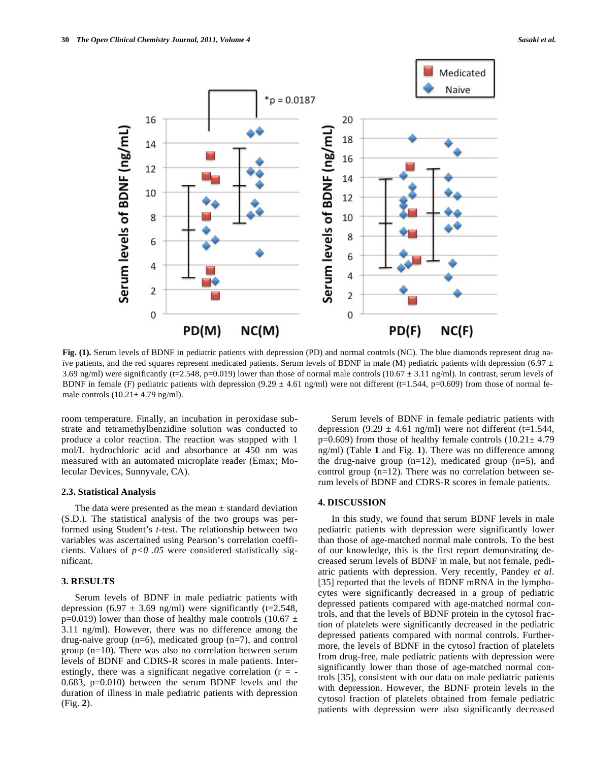

**Fig. (1).** Serum levels of BDNF in pediatric patients with depression (PD) and normal controls (NC). The blue diamonds represent drug naïve patients, and the red squares represent medicated patients. Serum levels of BDNF in male (M) pediatric patients with depression (6.97  $\pm$ 3.69 ng/ml) were significantly (t=2.548, p=0.019) lower than those of normal male controls (10.67  $\pm$  3.11 ng/ml). In contrast, serum levels of BDNF in female (F) pediatric patients with depression  $(9.29 \pm 4.61 \text{ ng/ml})$  were not different (t=1.544, p=0.609) from those of normal female controls  $(10.21 \pm 4.79 \text{ ng/ml})$ .

room temperature. Finally, an incubation in peroxidase substrate and tetramethylbenzidine solution was conducted to produce a color reaction. The reaction was stopped with 1 mol/L hydrochloric acid and absorbance at 450 nm was measured with an automated microplate reader (Emax; Molecular Devices, Sunnyvale, CA).

#### **2.3. Statistical Analysis**

The data were presented as the mean  $\pm$  standard deviation (S.D.). The statistical analysis of the two groups was performed using Student's *t*-test. The relationship between two variables was ascertained using Pearson's correlation coefficients. Values of  $p<0.05$  were considered statistically significant.

## **3. RESULTS**

 Serum levels of BDNF in male pediatric patients with depression (6.97  $\pm$  3.69 ng/ml) were significantly (t=2.548, p=0.019) lower than those of healthy male controls (10.67  $\pm$ 3.11 ng/ml). However, there was no difference among the drug-naive group  $(n=6)$ , medicated group  $(n=7)$ , and control group (n=10). There was also no correlation between serum levels of BDNF and CDRS-R scores in male patients. Interestingly, there was a significant negative correlation  $(r = -$ 0.683, p=0.010) between the serum BDNF levels and the duration of illness in male pediatric patients with depression (Fig. **2**).

 Serum levels of BDNF in female pediatric patients with depression (9.29  $\pm$  4.61 ng/ml) were not different (t=1.544,  $p=0.609$ ) from those of healthy female controls  $(10.21 \pm 4.79)$ ng/ml) (Table **1** and Fig. **1**). There was no difference among the drug-naive group  $(n=12)$ , medicated group  $(n=5)$ , and control group (n=12). There was no correlation between serum levels of BDNF and CDRS-R scores in female patients.

#### **4. DISCUSSION**

 In this study, we found that serum BDNF levels in male pediatric patients with depression were significantly lower than those of age-matched normal male controls. To the best of our knowledge, this is the first report demonstrating decreased serum levels of BDNF in male, but not female, pediatric patients with depression. Very recently, Pandey *et al*. [35] reported that the levels of BDNF mRNA in the lymphocytes were significantly decreased in a group of pediatric depressed patients compared with age-matched normal controls, and that the levels of BDNF protein in the cytosol fraction of platelets were significantly decreased in the pediatric depressed patients compared with normal controls. Furthermore, the levels of BDNF in the cytosol fraction of platelets from drug-free, male pediatric patients with depression were significantly lower than those of age-matched normal controls [35], consistent with our data on male pediatric patients with depression. However, the BDNF protein levels in the cytosol fraction of platelets obtained from female pediatric patients with depression were also significantly decreased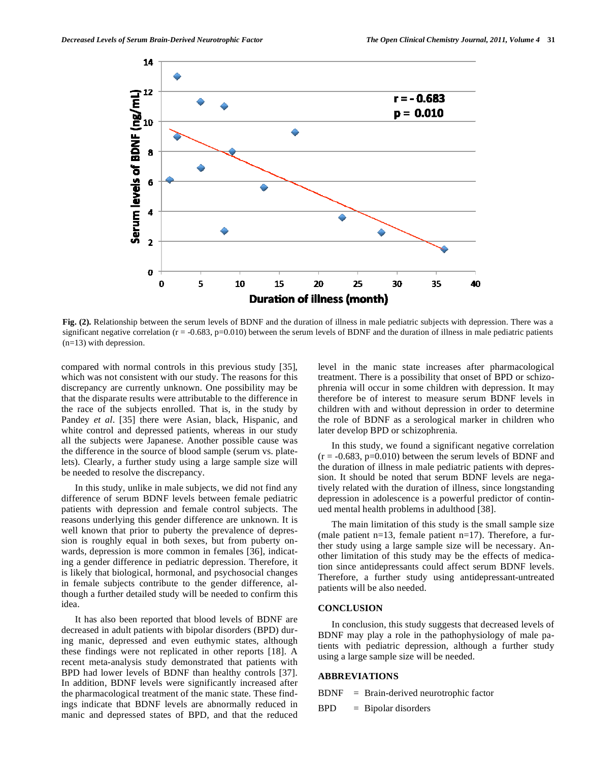

**Fig. (2).** Relationship between the serum levels of BDNF and the duration of illness in male pediatric subjects with depression. There was a significant negative correlation  $(r = -0.683, p = 0.010)$  between the serum levels of BDNF and the duration of illness in male pediatric patients (n=13) with depression.

compared with normal controls in this previous study [35], which was not consistent with our study. The reasons for this discrepancy are currently unknown. One possibility may be that the disparate results were attributable to the difference in the race of the subjects enrolled. That is, in the study by Pandey *et al*. [35] there were Asian, black, Hispanic, and white control and depressed patients, whereas in our study all the subjects were Japanese. Another possible cause was the difference in the source of blood sample (serum vs. platelets). Clearly, a further study using a large sample size will be needed to resolve the discrepancy.

 In this study, unlike in male subjects, we did not find any difference of serum BDNF levels between female pediatric patients with depression and female control subjects. The reasons underlying this gender difference are unknown. It is well known that prior to puberty the prevalence of depression is roughly equal in both sexes, but from puberty onwards, depression is more common in females [36], indicating a gender difference in pediatric depression. Therefore, it is likely that biological, hormonal, and psychosocial changes in female subjects contribute to the gender difference, although a further detailed study will be needed to confirm this idea.

 It has also been reported that blood levels of BDNF are decreased in adult patients with bipolar disorders (BPD) during manic, depressed and even euthymic states, although these findings were not replicated in other reports [18]. A recent meta-analysis study demonstrated that patients with BPD had lower levels of BDNF than healthy controls [37]. In addition, BDNF levels were significantly increased after the pharmacological treatment of the manic state. These findings indicate that BDNF levels are abnormally reduced in manic and depressed states of BPD, and that the reduced level in the manic state increases after pharmacological treatment. There is a possibility that onset of BPD or schizophrenia will occur in some children with depression. It may therefore be of interest to measure serum BDNF levels in children with and without depression in order to determine the role of BDNF as a serological marker in children who later develop BPD or schizophrenia.

 In this study, we found a significant negative correlation  $(r = -0.683, p = 0.010)$  between the serum levels of BDNF and the duration of illness in male pediatric patients with depression. It should be noted that serum BDNF levels are negatively related with the duration of illness, since longstanding depression in adolescence is a powerful predictor of continued mental health problems in adulthood [38].

 The main limitation of this study is the small sample size (male patient n=13, female patient n=17). Therefore, a further study using a large sample size will be necessary. Another limitation of this study may be the effects of medication since antidepressants could affect serum BDNF levels. Therefore, a further study using antidepressant-untreated patients will be also needed.

## **CONCLUSION**

 In conclusion, this study suggests that decreased levels of BDNF may play a role in the pathophysiology of male patients with pediatric depression, although a further study using a large sample size will be needed.

#### **ABBREVIATIONS**

BDNF = Brain-derived neurotrophic factor

 $BPD = Bipolar disorders$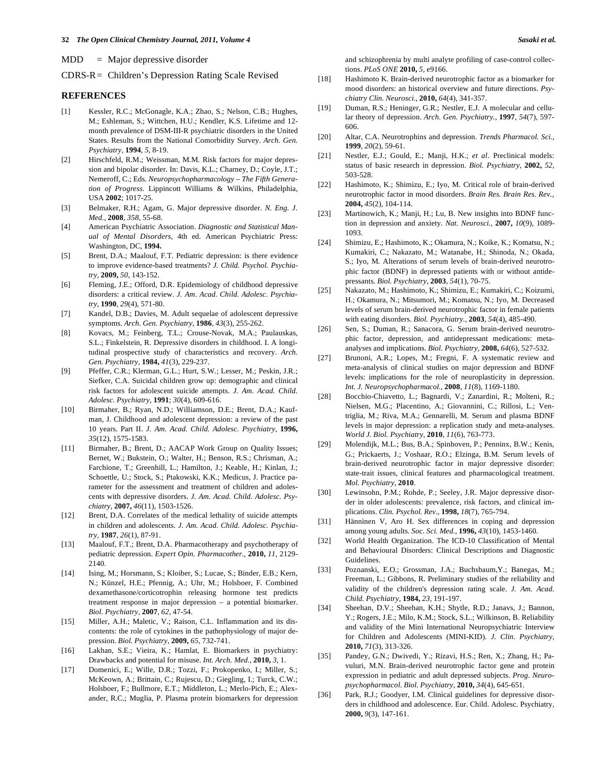- $MDD$  = Major depressive disorder
- CDRS-R = Children's Depression Rating Scale Revised

#### **REFERENCES**

- [1] Kessler, R.C.; McGonagle, K.A.; Zhao, S.; Nelson, C.B.; Hughes, M.; Eshleman, S.; Wittchen, H.U.; Kendler, K.S. Lifetime and 12 month prevalence of DSM-III-R psychiatric disorders in the United States. Results from the National Comorbidity Survey. *Arch. Gen. Psychiatry,* **1994**, *5*, 8-19.
- [2] Hirschfeld, R.M.; Weissman, M.M. Risk factors for major depression and bipolar disorder. In: Davis, K.L.; Charney, D.; Coyle, J.T.; Nemeroff, C.; Eds. *Neuropsychopharmacology – The Fifth Generation of Progress.* Lippincott Williams & Wilkins, Philadelphia, USA **2002**; 1017-25.
- [3] Belmaker, R.H.; Agam, G. Major depressive disorder. *N. Eng. J. Med.,* **2008**, *358*, 55-68.
- [4] American Psychiatric Association. *Diagnostic and Statistical Manual of Mental Disorders*, 4th ed. American Psychiatric Press: Washington, DC, **1994.**
- [5] Brent, D.A.; Maalouf, F.T. Pediatric depression: is there evidence to improve evidence-based treatments? *J. Child. Psychol. Psychiatry,* **2009,** *50,* 143-152.
- [6] Fleming, J.E.; Offord, D.R. Epidemiology of childhood depressive disorders: a critical review. *J. Am. Acad. Child. Adolesc. Psychiatry,* **1990**, *29*(4), 571-80.
- [7] Kandel, D.B.; Davies, M. Adult sequelae of adolescent depressive symptoms. *Arch. Gen. Psychiatry,* **1986**, *43*(3), 255-262.
- [8] Kovacs, M.; Feinberg, T.L.; Crouse-Novak, M.A.; Paulauskas, S.L.; Finkelstein, R. Depressive disorders in childhood. I. A longitudinal prospective study of characteristics and recovery. *Arch. Gen. Psychiatry,* **1984,** *41*(3), 229-237.
- [9] Pfeffer, C.R.; Klerman, G.L.; Hurt, S.W.; Lesser, M.; Peskin, J.R.; Siefker, C.A. Suicidal children grow up: demographic and clinical risk factors for adolescent suicide attempts. *J. Am. Acad. Child. Adolesc. Psychiatry,* **1991**; *30*(4), 609-616.
- [10] Birmaher, B.; Ryan, N.D.; Williamson, D.E.; Brent, D.A.; Kaufman, J. Childhood and adolescent depression: a review of the past 10 years. Part II. *J. Am. Acad. Child. Adolesc. Psychiatry,* **1996,**  *35*(12), 1575-1583.
- [11] Birmaher, B.; Brent, D.; AACAP Work Group on Quality Issues; Bernet, W.; Bukstein, O.; Walter, H.; Benson, R.S.; Chrisman, A.; Farchione, T.; Greenhill, L.; Hamilton, J.; Keable, H.; Kinlan, J.; Schoettle, U.; Stock, S.; Ptakowski, K.K.; Medicus, J. Practice parameter for the assessment and treatment of children and adolescents with depressive disorders. *J. Am. Acad. Child. Adolesc. Psychiatry,* **2007,** *46*(11), 1503-1526.
- [12] Brent, D.A. Correlates of the medical lethality of suicide attempts in children and adolescents. *J. Am. Acad. Child. Adolesc. Psychiatry,* **1987**, *26*(1), 87-91.
- [13] Maalouf, F.T.; Brent, D.A. Pharmacotherapy and psychotherapy of pediatric depression. *Expert Opin. Pharmacother.,* **2010,** *11,* 2129- 2140.
- [14] Ising, M.; Horsmann, S.; Kloiber, S.; Lucae, S.; Binder, E.B.; Kern, N.; Künzel, H.E.; Pfennig, A.; Uhr, M.; Holsboer, F. Combined dexamethasone/corticotrophin releasing hormone test predicts treatment response in major depression – a potential biomarker. *Biol. Psychiatry,* **2007**, *62,* 47-54.
- [15] Miller, A.H.; Maletic, V.; Raison, C.L. Inflammation and its discontents: the role of cytokines in the pathophysiology of major depression. *Biol. Psychiatry,* **2009,** *65,* 732-741.
- [16] Lakhan, S.E.; Vieira, K.; Hamlat, E. Biomarkers in psychiatry: Drawbacks and potential for misuse. *Int. Arch. Med.,* **2010,** *3,* 1.
- [17] Domenici, E.; Wille, D.R.; Tozzi, F.; Prokopenko, I.; Miller, S.; McKeown, A.; Brittain, C.; Rujescu, D.; Giegling, I.; Turck, C.W.; Holsboer, F.; Bullmore, E.T.; Middleton, L.; Merlo-Pich, E.; Alexander, R.C.; Muglia, P. Plasma protein biomarkers for depression

and schizophrenia by multi analyte profiling of case-control collections. *PLoS ONE* **2010,** *5,* e9166.

- [18] Hashimoto K. Brain-derived neurotrophic factor as a biomarker for mood disorders: an historical overview and future directions. *Psychiatry Clin. Neurosci.,* **2010,** *64*(4), 341-357.
- [19] Duman, R.S.; Heninger, G.R.; Nestler, E.J. A molecular and cellular theory of depression. *Arch. Gen. Psychiatry.,* **1997**, *54*(7), 597- 606.
- [20] Altar, C.A. Neurotrophins and depression. *Trends Pharmacol. Sci.,* **1999**, *20*(2), 59-61.
- [21] Nestler, E.J.; Gould, E.; Manji, H.K.; *et al*. Preclinical models: status of basic research in depression. *Biol. Psychiatry,* **2002,** *52*, 503-528.
- [22] Hashimoto, K.; Shimizu, E.; Iyo, M. Critical role of brain-derived neurotrophic factor in mood disorders. *Brain Res. Brain Res. Rev.,*  **2004,** *45*(2), 104-114.
- [23] Martinowich, K.; Manji, H.; Lu, B. New insights into BDNF function in depression and anxiety. *Nat. Neurosci.,* **2007,** *10*(9), 1089- 1093.
- [24] Shimizu, E.; Hashimoto, K.; Okamura, N.; Koike, K.; Komatsu, N.; Kumakiri, C.; Nakazato, M.; Watanabe, H.; Shinoda, N.; Okada, S.; Iyo, M. Alterations of serum levels of brain-derived neurotrophic factor (BDNF) in depressed patients with or without antidepressants. *Biol. Psychiatry,* **2003**, *54*(1), 70-75.
- [25] Nakazato, M.; Hashimoto, K.; Shimizu, E.; Kumakiri, C.; Koizumi, H.; Okamura, N.; Mitsumori, M.; Komatsu, N.; Iyo, M. Decreased levels of serum brain-derived neurotrophic factor in female patients with eating disorders. *Biol. Psychiatry.,* **2003**, *54*(4), 485-490.
- [26] Sen, S.; Duman, R.; Sanacora, G. Serum brain-derived neurotrophic factor, depression, and antidepressant medications: metaanalyses and implications. *Biol. Psychiatry,* **2008,** *64*(6), 527-532.
- [27] Brunoni, A.R.; Lopes, M.; Fregni, F. A systematic review and meta-analysis of clinical studies on major depression and BDNF levels: implications for the role of neuroplasticity in depression. *Int. J. Neuropsychopharmacol.,* **2008**, *11*(8), 1169-1180.
- [28] Bocchio-Chiavetto, L.; Bagnardi, V.; Zanardini, R.; Molteni, R.; Nielsen, M.G.; Placentino, A.; Giovannini, C.; Rillosi, L.; Ventriglia, M.; Riva, M.A.; Gennarelli, M. Serum and plasma BDNF levels in major depression: a replication study and meta-analyses. *World J. Biol. Psychiatry,* **2010**, *11*(6), 763-773.
- [29] Molendijk, M.L.; Bus, B.A.; Spinhoven, P.; Penninx, B.W.; Kenis, G.; Prickaerts, J.; Voshaar, R.O.; Elzinga, B.M. Serum levels of brain-derived neurotrophic factor in major depressive disorder: state-trait issues, clinical features and pharmacological treatment. *Mol. Psychiatry,* **2010**.
- [30] Lewinsohn, P.M.; Rohde, P.; Seeley, J.R. Major depressive disorder in older adolescents: prevalence, risk factors, and clinical implications. *Clin. Psychol. Rev*., **1998,** *18*(7), 765-794.
- [31] Hänninen V, Aro H. Sex differences in coping and depression among young adults. *Soc. Sci. Med.,* **1996,** *43*(10), 1453-1460.
- [32] World Health Organization. The ICD-10 Classification of Mental and Behavioural Disorders: Clinical Descriptions and Diagnostic Guidelines.
- [33] Poznanski, E.O.; Grossman, J.A.; Buchsbaum,Y.; Banegas, M.; Freeman, L.; Gibbons, R. Preliminary studies of the reliability and validity of the children's depression rating scale. *J. Am. Acad. Child. Psychiatry,* **1984,** *23,* 191-197.
- [34] Sheehan, D.V.; Sheehan, K.H.; Shytle, R.D.; Janavs, J.; Bannon, Y.; Rogers, J.E.; Milo, K.M.; Stock, S.L.; Wilkinson, B. Reliability and validity of the Mini International Neuropsychiatric Interview for Children and Adolescents (MINI-KID). *J. Clin. Psychiatry,* **2010,** *71*(3), 313-326.
- [35] Pandey, G.N.; Dwivedi, Y.; Rizavi, H.S.; Ren, X.; Zhang, H.; Pavuluri, M.N. Brain-derived neurotrophic factor gene and protein expression in pediatric and adult depressed subjects. *Prog. Neuropsychopharmacol. Biol. Psychiatry,* **2010,** *34*(4), 645-651.
- [36] Park, R.J.; Goodyer, I.M. Clinical guidelines for depressive disorders in childhood and adolescence. Eur. Child. Adolesc. Psychiatry, **2000,** *9*(3), 147-161.